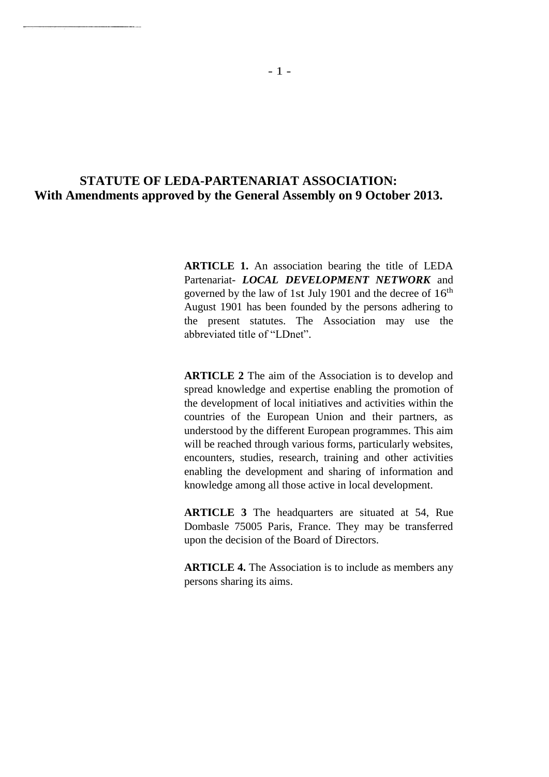## **STATUTE OF LEDA-PARTENARIAT ASSOCIATION: With Amendments approved by the General Assembly on 9 October 2013.**

**ARTICLE 1.** An association bearing the title of LEDA Partenariat- *LOCAL DEVELOPMENT NETWORK* and governed by the law of 1st July 1901 and the decree of  $16<sup>th</sup>$ August 1901 has been founded by the persons adhering to the present statutes. The Association may use the abbreviated title of "LDnet".

**ARTICLE 2** The aim of the Association is to develop and spread knowledge and expertise enabling the promotion of the development of local initiatives and activities within the countries of the European Union and their partners, as understood by the different European programmes. This aim will be reached through various forms, particularly websites, encounters, studies, research, training and other activities enabling the development and sharing of information and knowledge among all those active in local development.

**ARTICLE 3** The headquarters are situated at 54, Rue Dombasle 75005 Paris, France. They may be transferred upon the decision of the Board of Directors.

**ARTICLE 4.** The Association is to include as members any persons sharing its aims.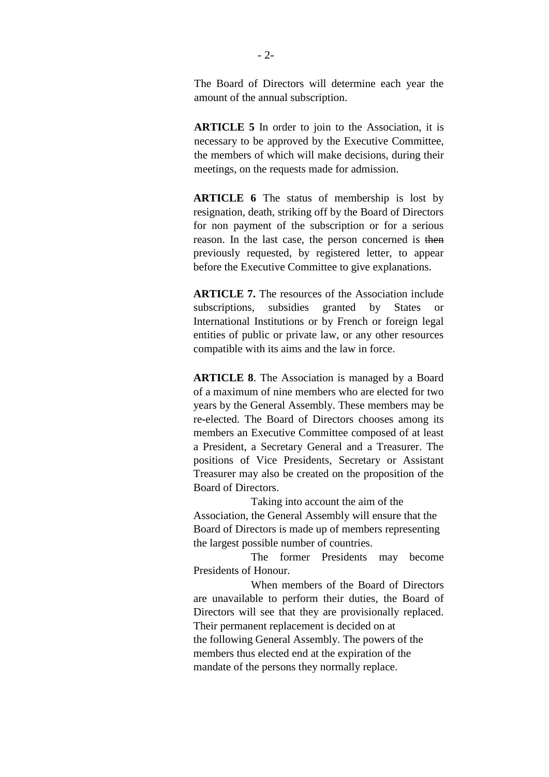The Board of Directors will determine each year the amount of the annual subscription.

**ARTICLE 5** In order to join to the Association, it is necessary to be approved by the Executive Committee, the members of which will make decisions, during their meetings, on the requests made for admission.

**ARTICLE 6** The status of membership is lost by resignation, death, striking off by the Board of Directors for non payment of the subscription or for a serious reason. In the last case, the person concerned is then previously requested, by registered letter, to appear before the Executive Committee to give explanations.

**ARTICLE 7.** The resources of the Association include subscriptions, subsidies granted by States or International Institutions or by French or foreign legal entities of public or private law, or any other resources compatible with its aims and the law in force.

**ARTICLE 8**. The Association is managed by a Board of a maximum of nine members who are elected for two years by the General Assembly. These members may be re-elected. The Board of Directors chooses among its members an Executive Committee composed of at least a President, a Secretary General and a Treasurer. The positions of Vice Presidents, Secretary or Assistant Treasurer may also be created on the proposition of the Board of Directors.

Taking into account the aim of the Association, the General Assembly will ensure that the Board of Directors is made up of members representing the largest possible number of countries.

The former Presidents may become Presidents of Honour.

When members of the Board of Directors are unavailable to perform their duties, the Board of Directors will see that they are provisionally replaced. Their permanent replacement is decided on at the following General Assembly. The powers of the members thus elected end at the expiration of the mandate of the persons they normally replace.